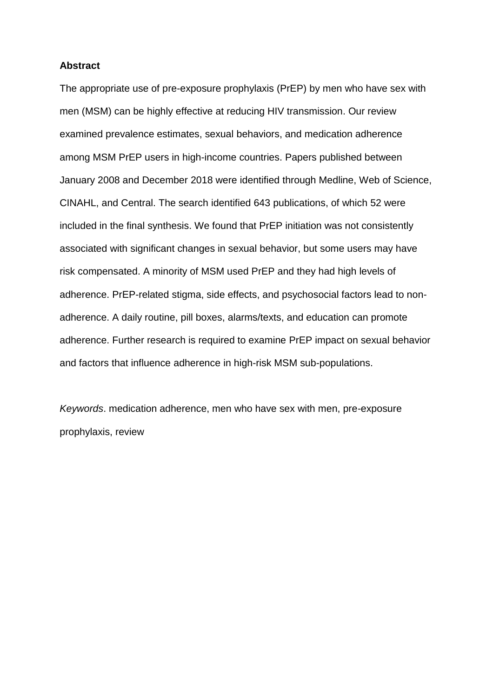## **Abstract**

The appropriate use of pre-exposure prophylaxis (PrEP) by men who have sex with men (MSM) can be highly effective at reducing HIV transmission. Our review examined prevalence estimates, sexual behaviors, and medication adherence among MSM PrEP users in high-income countries. Papers published between January 2008 and December 2018 were identified through Medline, Web of Science, CINAHL, and Central. The search identified 643 publications, of which 52 were included in the final synthesis. We found that PrEP initiation was not consistently associated with significant changes in sexual behavior, but some users may have risk compensated. A minority of MSM used PrEP and they had high levels of adherence. PrEP-related stigma, side effects, and psychosocial factors lead to nonadherence. A daily routine, pill boxes, alarms/texts, and education can promote adherence. Further research is required to examine PrEP impact on sexual behavior and factors that influence adherence in high-risk MSM sub-populations.

*Keywords*. medication adherence, men who have sex with men, pre-exposure prophylaxis, review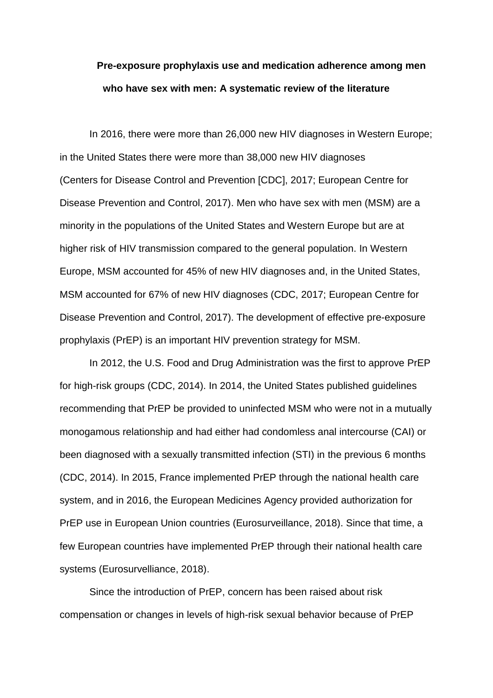# **Pre-exposure prophylaxis use and medication adherence among men who have sex with men: A systematic review of the literature**

In 2016, there were more than 26,000 new HIV diagnoses in Western Europe; in the United States there were more than 38,000 new HIV diagnoses (Centers for Disease Control and Prevention [CDC], 2017; European Centre for Disease Prevention and Control, 2017). Men who have sex with men (MSM) are a minority in the populations of the United States and Western Europe but are at higher risk of HIV transmission compared to the general population. In Western Europe, MSM accounted for 45% of new HIV diagnoses and, in the United States, MSM accounted for 67% of new HIV diagnoses (CDC, 2017; European Centre for Disease Prevention and Control, 2017). The development of effective pre-exposure prophylaxis (PrEP) is an important HIV prevention strategy for MSM.

In 2012, the U.S. Food and Drug Administration was the first to approve PrEP for high-risk groups (CDC, 2014). In 2014, the United States published guidelines recommending that PrEP be provided to uninfected MSM who were not in a mutually monogamous relationship and had either had condomless anal intercourse (CAI) or been diagnosed with a sexually transmitted infection (STI) in the previous 6 months (CDC, 2014). In 2015, France implemented PrEP through the national health care system, and in 2016, the European Medicines Agency provided authorization for PrEP use in European Union countries (Eurosurveillance, 2018). Since that time, a few European countries have implemented PrEP through their national health care systems (Eurosurvelliance, 2018).

Since the introduction of PrEP, concern has been raised about risk compensation or changes in levels of high-risk sexual behavior because of PrEP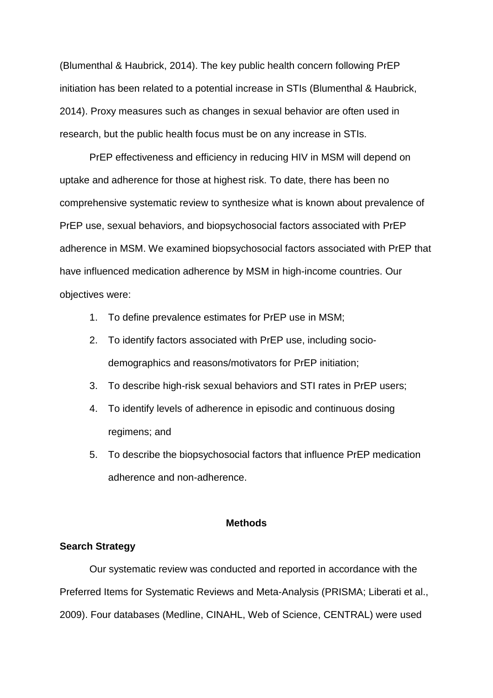(Blumenthal & Haubrick, 2014). The key public health concern following PrEP initiation has been related to a potential increase in STIs (Blumenthal & Haubrick, 2014). Proxy measures such as changes in sexual behavior are often used in research, but the public health focus must be on any increase in STIs.

PrEP effectiveness and efficiency in reducing HIV in MSM will depend on uptake and adherence for those at highest risk. To date, there has been no comprehensive systematic review to synthesize what is known about prevalence of PrEP use, sexual behaviors, and biopsychosocial factors associated with PrEP adherence in MSM. We examined biopsychosocial factors associated with PrEP that have influenced medication adherence by MSM in high-income countries. Our objectives were:

- 1. To define prevalence estimates for PrEP use in MSM;
- 2. To identify factors associated with PrEP use, including sociodemographics and reasons/motivators for PrEP initiation;
- 3. To describe high-risk sexual behaviors and STI rates in PrEP users;
- 4. To identify levels of adherence in episodic and continuous dosing regimens; and
- 5. To describe the biopsychosocial factors that influence PrEP medication adherence and non-adherence.

# **Methods**

#### **Search Strategy**

Our systematic review was conducted and reported in accordance with the Preferred Items for Systematic Reviews and Meta-Analysis (PRISMA; Liberati et al., 2009). Four databases (Medline, CINAHL, Web of Science, CENTRAL) were used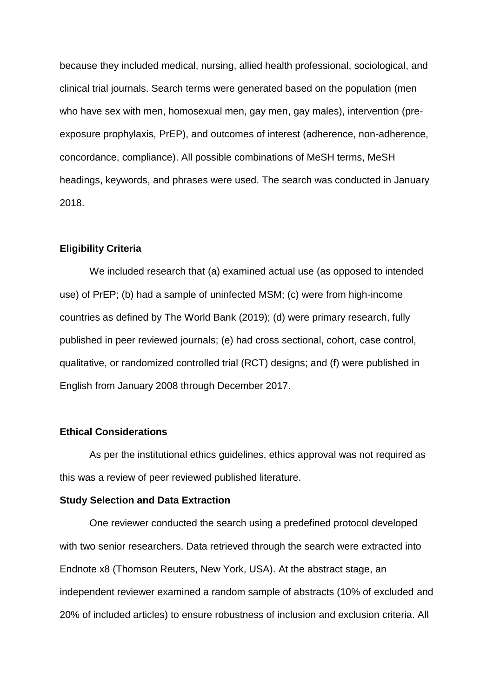because they included medical, nursing, allied health professional, sociological, and clinical trial journals. Search terms were generated based on the population (men who have sex with men, homosexual men, gay men, gay males), intervention (preexposure prophylaxis, PrEP), and outcomes of interest (adherence, non-adherence, concordance, compliance). All possible combinations of MeSH terms, MeSH headings, keywords, and phrases were used. The search was conducted in January 2018.

# **Eligibility Criteria**

We included research that (a) examined actual use (as opposed to intended use) of PrEP; (b) had a sample of uninfected MSM; (c) were from high-income countries as defined by The World Bank (2019); (d) were primary research, fully published in peer reviewed journals; (e) had cross sectional, cohort, case control, qualitative, or randomized controlled trial (RCT) designs; and (f) were published in English from January 2008 through December 2017.

# **Ethical Considerations**

As per the institutional ethics guidelines, ethics approval was not required as this was a review of peer reviewed published literature.

#### **Study Selection and Data Extraction**

One reviewer conducted the search using a predefined protocol developed with two senior researchers. Data retrieved through the search were extracted into Endnote x8 (Thomson Reuters, New York, USA). At the abstract stage, an independent reviewer examined a random sample of abstracts (10% of excluded and 20% of included articles) to ensure robustness of inclusion and exclusion criteria. All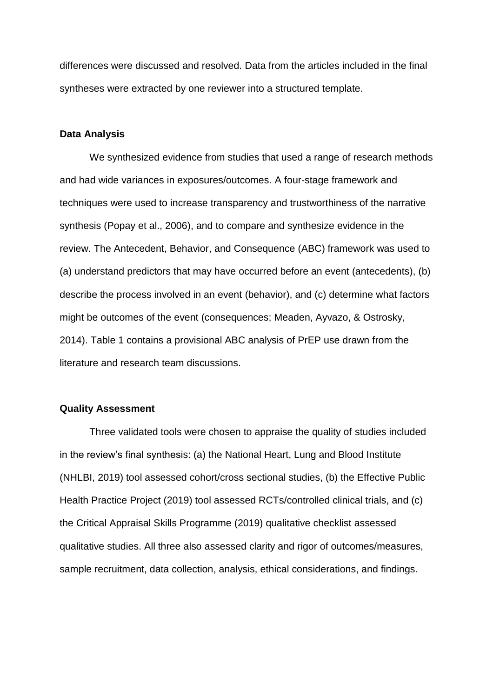differences were discussed and resolved. Data from the articles included in the final syntheses were extracted by one reviewer into a structured template.

# **Data Analysis**

We synthesized evidence from studies that used a range of research methods and had wide variances in exposures/outcomes. A four-stage framework and techniques were used to increase transparency and trustworthiness of the narrative synthesis (Popay et al., 2006), and to compare and synthesize evidence in the review. The Antecedent, Behavior, and Consequence (ABC) framework was used to (a) understand predictors that may have occurred before an event (antecedents), (b) describe the process involved in an event (behavior), and (c) determine what factors might be outcomes of the event (consequences; Meaden, Ayvazo, & Ostrosky, 2014). Table 1 contains a provisional ABC analysis of PrEP use drawn from the literature and research team discussions.

#### **Quality Assessment**

Three validated tools were chosen to appraise the quality of studies included in the review's final synthesis: (a) the National Heart, Lung and Blood Institute (NHLBI, 2019) tool assessed cohort/cross sectional studies, (b) the Effective Public Health Practice Project (2019) tool assessed RCTs/controlled clinical trials, and (c) the Critical Appraisal Skills Programme (2019) qualitative checklist assessed qualitative studies. All three also assessed clarity and rigor of outcomes/measures, sample recruitment, data collection, analysis, ethical considerations, and findings.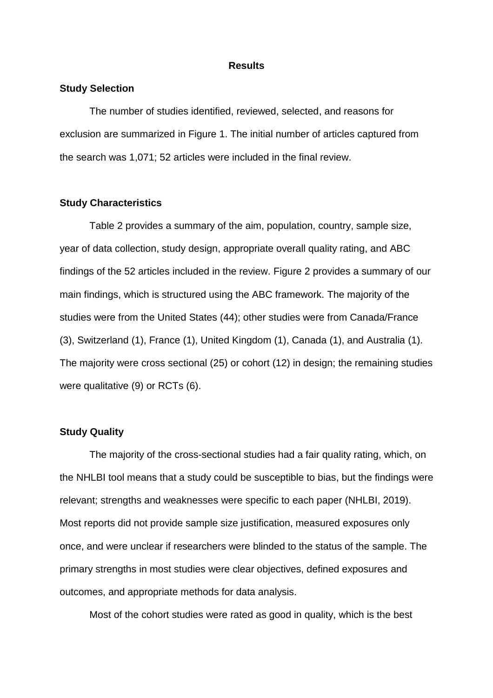#### **Results**

## **Study Selection**

The number of studies identified, reviewed, selected, and reasons for exclusion are summarized in Figure 1. The initial number of articles captured from the search was 1,071; 52 articles were included in the final review.

#### **Study Characteristics**

Table 2 provides a summary of the aim, population, country, sample size, year of data collection, study design, appropriate overall quality rating, and ABC findings of the 52 articles included in the review. Figure 2 provides a summary of our main findings, which is structured using the ABC framework. The majority of the studies were from the United States (44); other studies were from Canada/France (3), Switzerland (1), France (1), United Kingdom (1), Canada (1), and Australia (1). The majority were cross sectional (25) or cohort (12) in design; the remaining studies were qualitative (9) or RCTs (6).

# **Study Quality**

The majority of the cross-sectional studies had a fair quality rating, which, on the NHLBI tool means that a study could be susceptible to bias, but the findings were relevant; strengths and weaknesses were specific to each paper (NHLBI, 2019). Most reports did not provide sample size justification, measured exposures only once, and were unclear if researchers were blinded to the status of the sample. The primary strengths in most studies were clear objectives, defined exposures and outcomes, and appropriate methods for data analysis.

Most of the cohort studies were rated as good in quality, which is the best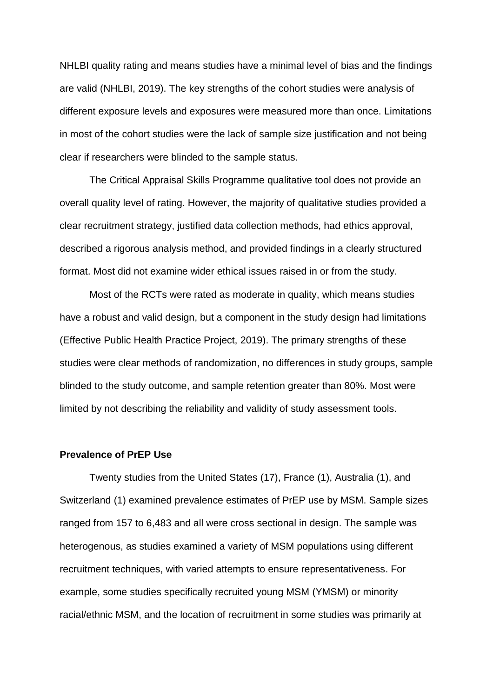NHLBI quality rating and means studies have a minimal level of bias and the findings are valid (NHLBI, 2019). The key strengths of the cohort studies were analysis of different exposure levels and exposures were measured more than once. Limitations in most of the cohort studies were the lack of sample size justification and not being clear if researchers were blinded to the sample status.

The Critical Appraisal Skills Programme qualitative tool does not provide an overall quality level of rating. However, the majority of qualitative studies provided a clear recruitment strategy, justified data collection methods, had ethics approval, described a rigorous analysis method, and provided findings in a clearly structured format. Most did not examine wider ethical issues raised in or from the study.

Most of the RCTs were rated as moderate in quality, which means studies have a robust and valid design, but a component in the study design had limitations (Effective Public Health Practice Project, 2019). The primary strengths of these studies were clear methods of randomization, no differences in study groups, sample blinded to the study outcome, and sample retention greater than 80%. Most were limited by not describing the reliability and validity of study assessment tools.

## **Prevalence of PrEP Use**

Twenty studies from the United States (17), France (1), Australia (1), and Switzerland (1) examined prevalence estimates of PrEP use by MSM. Sample sizes ranged from 157 to 6,483 and all were cross sectional in design. The sample was heterogenous, as studies examined a variety of MSM populations using different recruitment techniques, with varied attempts to ensure representativeness. For example, some studies specifically recruited young MSM (YMSM) or minority racial/ethnic MSM, and the location of recruitment in some studies was primarily at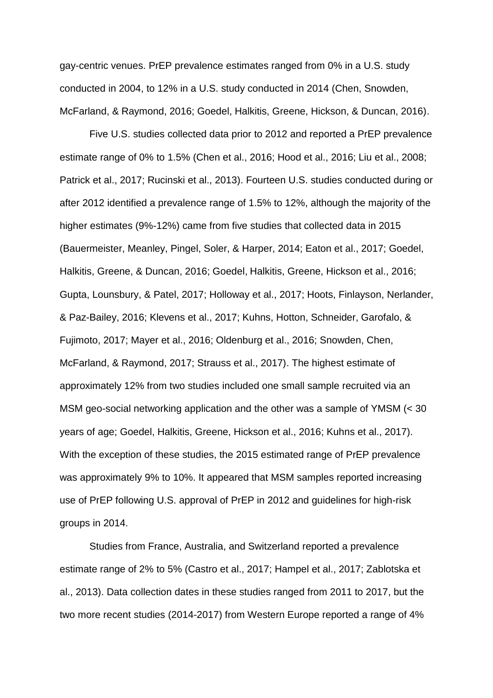gay-centric venues. PrEP prevalence estimates ranged from 0% in a U.S. study conducted in 2004, to 12% in a U.S. study conducted in 2014 (Chen, Snowden, McFarland, & Raymond, 2016; Goedel, Halkitis, Greene, Hickson, & Duncan, 2016).

Five U.S. studies collected data prior to 2012 and reported a PrEP prevalence estimate range of 0% to 1.5% (Chen et al., 2016; Hood et al., 2016; Liu et al., 2008; Patrick et al., 2017; Rucinski et al., 2013). Fourteen U.S. studies conducted during or after 2012 identified a prevalence range of 1.5% to 12%, although the majority of the higher estimates (9%-12%) came from five studies that collected data in 2015 (Bauermeister, Meanley, Pingel, Soler, & Harper, 2014; Eaton et al., 2017; Goedel, Halkitis, Greene, & Duncan, 2016; Goedel, Halkitis, Greene, Hickson et al., 2016; Gupta, Lounsbury, & Patel, 2017; Holloway et al., 2017; Hoots, Finlayson, Nerlander, & Paz-Bailey, 2016; Klevens et al., 2017; Kuhns, Hotton, Schneider, Garofalo, & Fujimoto, 2017; Mayer et al., 2016; Oldenburg et al., 2016; Snowden, Chen, McFarland, & Raymond, 2017; Strauss et al., 2017). The highest estimate of approximately 12% from two studies included one small sample recruited via an MSM geo-social networking application and the other was a sample of YMSM (< 30 years of age; Goedel, Halkitis, Greene, Hickson et al., 2016; Kuhns et al., 2017). With the exception of these studies, the 2015 estimated range of PrEP prevalence was approximately 9% to 10%. It appeared that MSM samples reported increasing use of PrEP following U.S. approval of PrEP in 2012 and guidelines for high-risk groups in 2014.

Studies from France, Australia, and Switzerland reported a prevalence estimate range of 2% to 5% (Castro et al., 2017; Hampel et al., 2017; Zablotska et al., 2013). Data collection dates in these studies ranged from 2011 to 2017, but the two more recent studies (2014-2017) from Western Europe reported a range of 4%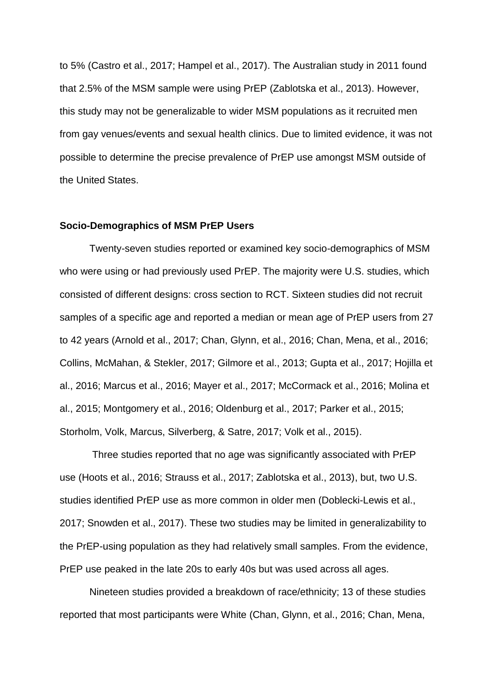to 5% (Castro et al., 2017; Hampel et al., 2017). The Australian study in 2011 found that 2.5% of the MSM sample were using PrEP (Zablotska et al., 2013). However, this study may not be generalizable to wider MSM populations as it recruited men from gay venues/events and sexual health clinics. Due to limited evidence, it was not possible to determine the precise prevalence of PrEP use amongst MSM outside of the United States.

## **Socio-Demographics of MSM PrEP Users**

Twenty-seven studies reported or examined key socio-demographics of MSM who were using or had previously used PrEP. The majority were U.S. studies, which consisted of different designs: cross section to RCT. Sixteen studies did not recruit samples of a specific age and reported a median or mean age of PrEP users from 27 to 42 years (Arnold et al., 2017; Chan, Glynn, et al., 2016; Chan, Mena, et al., 2016; Collins, McMahan, & Stekler, 2017; Gilmore et al., 2013; Gupta et al., 2017; Hojilla et al., 2016; Marcus et al., 2016; Mayer et al., 2017; McCormack et al., 2016; Molina et al., 2015; Montgomery et al., 2016; Oldenburg et al., 2017; Parker et al., 2015; Storholm, Volk, Marcus, Silverberg, & Satre, 2017; Volk et al., 2015).

Three studies reported that no age was significantly associated with PrEP use (Hoots et al., 2016; Strauss et al., 2017; Zablotska et al., 2013), but, two U.S. studies identified PrEP use as more common in older men (Doblecki-Lewis et al., 2017; Snowden et al., 2017). These two studies may be limited in generalizability to the PrEP-using population as they had relatively small samples. From the evidence, PrEP use peaked in the late 20s to early 40s but was used across all ages.

Nineteen studies provided a breakdown of race/ethnicity; 13 of these studies reported that most participants were White (Chan, Glynn, et al., 2016; Chan, Mena,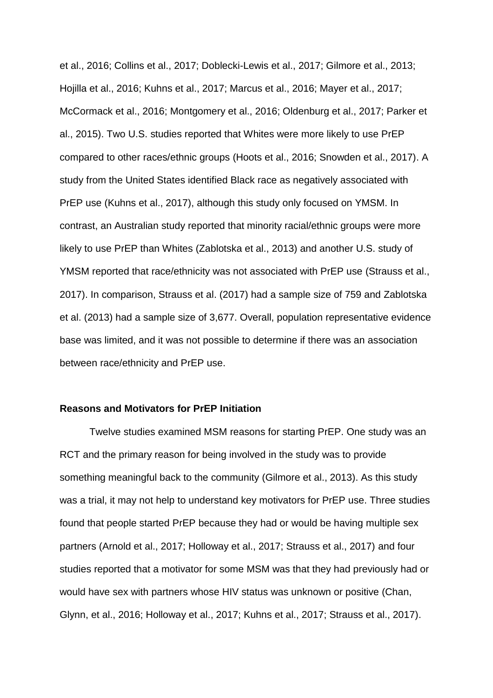et al., 2016; Collins et al., 2017; Doblecki-Lewis et al., 2017; Gilmore et al., 2013; Hojilla et al., 2016; Kuhns et al., 2017; Marcus et al., 2016; Mayer et al., 2017; McCormack et al., 2016; Montgomery et al., 2016; Oldenburg et al., 2017; Parker et al., 2015). Two U.S. studies reported that Whites were more likely to use PrEP compared to other races/ethnic groups (Hoots et al., 2016; Snowden et al., 2017). A study from the United States identified Black race as negatively associated with PrEP use (Kuhns et al., 2017), although this study only focused on YMSM. In contrast, an Australian study reported that minority racial/ethnic groups were more likely to use PrEP than Whites (Zablotska et al., 2013) and another U.S. study of YMSM reported that race/ethnicity was not associated with PrEP use (Strauss et al., 2017). In comparison, Strauss et al. (2017) had a sample size of 759 and Zablotska et al. (2013) had a sample size of 3,677. Overall, population representative evidence base was limited, and it was not possible to determine if there was an association between race/ethnicity and PrEP use.

#### **Reasons and Motivators for PrEP Initiation**

Twelve studies examined MSM reasons for starting PrEP. One study was an RCT and the primary reason for being involved in the study was to provide something meaningful back to the community (Gilmore et al., 2013). As this study was a trial, it may not help to understand key motivators for PrEP use. Three studies found that people started PrEP because they had or would be having multiple sex partners (Arnold et al., 2017; Holloway et al., 2017; Strauss et al., 2017) and four studies reported that a motivator for some MSM was that they had previously had or would have sex with partners whose HIV status was unknown or positive (Chan, Glynn, et al., 2016; Holloway et al., 2017; Kuhns et al., 2017; Strauss et al., 2017).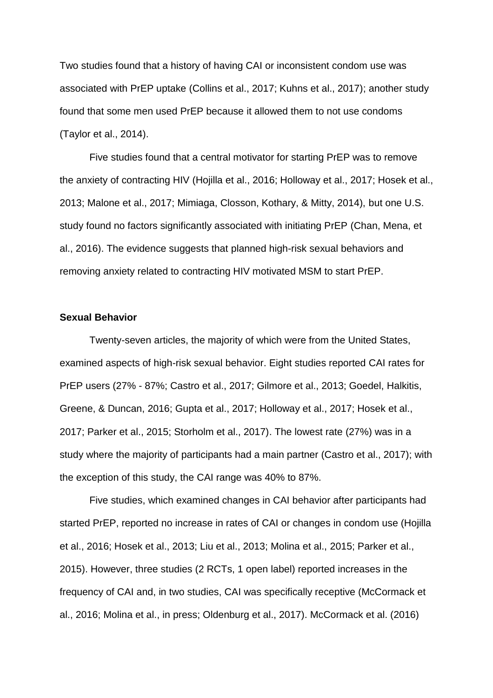Two studies found that a history of having CAI or inconsistent condom use was associated with PrEP uptake (Collins et al., 2017; Kuhns et al., 2017); another study found that some men used PrEP because it allowed them to not use condoms (Taylor et al., 2014).

Five studies found that a central motivator for starting PrEP was to remove the anxiety of contracting HIV (Hojilla et al., 2016; Holloway et al., 2017; Hosek et al., 2013; Malone et al., 2017; Mimiaga, Closson, Kothary, & Mitty, 2014), but one U.S. study found no factors significantly associated with initiating PrEP (Chan, Mena, et al., 2016). The evidence suggests that planned high-risk sexual behaviors and removing anxiety related to contracting HIV motivated MSM to start PrEP.

# **Sexual Behavior**

Twenty-seven articles, the majority of which were from the United States, examined aspects of high-risk sexual behavior. Eight studies reported CAI rates for PrEP users (27% - 87%; Castro et al., 2017; Gilmore et al., 2013; Goedel, Halkitis, Greene, & Duncan, 2016; Gupta et al., 2017; Holloway et al., 2017; Hosek et al., 2017; Parker et al., 2015; Storholm et al., 2017). The lowest rate (27%) was in a study where the majority of participants had a main partner (Castro et al., 2017); with the exception of this study, the CAI range was 40% to 87%.

Five studies, which examined changes in CAI behavior after participants had started PrEP, reported no increase in rates of CAI or changes in condom use (Hojilla et al., 2016; Hosek et al., 2013; Liu et al., 2013; Molina et al., 2015; Parker et al., 2015). However, three studies (2 RCTs, 1 open label) reported increases in the frequency of CAI and, in two studies, CAI was specifically receptive (McCormack et al., 2016; Molina et al., in press; Oldenburg et al., 2017). McCormack et al. (2016)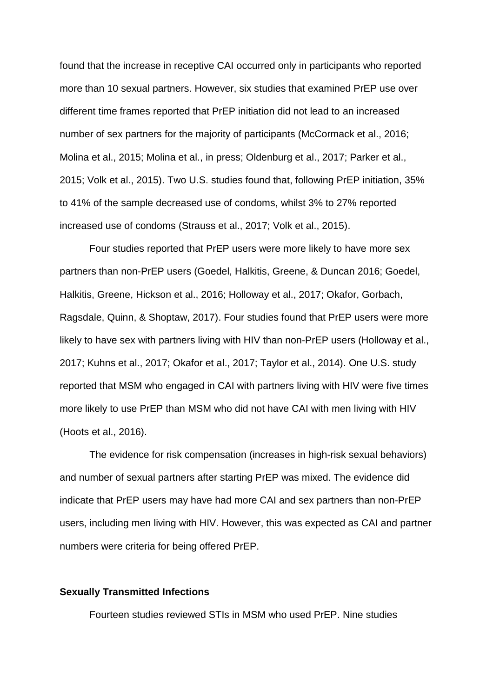found that the increase in receptive CAI occurred only in participants who reported more than 10 sexual partners. However, six studies that examined PrEP use over different time frames reported that PrEP initiation did not lead to an increased number of sex partners for the majority of participants (McCormack et al., 2016; Molina et al., 2015; Molina et al., in press; Oldenburg et al., 2017; Parker et al., 2015; Volk et al., 2015). Two U.S. studies found that, following PrEP initiation, 35% to 41% of the sample decreased use of condoms, whilst 3% to 27% reported increased use of condoms (Strauss et al., 2017; Volk et al., 2015).

Four studies reported that PrEP users were more likely to have more sex partners than non-PrEP users (Goedel, Halkitis, Greene, & Duncan 2016; Goedel, Halkitis, Greene, Hickson et al., 2016; Holloway et al., 2017; Okafor, Gorbach, Ragsdale, Quinn, & Shoptaw, 2017). Four studies found that PrEP users were more likely to have sex with partners living with HIV than non-PrEP users (Holloway et al., 2017; Kuhns et al., 2017; Okafor et al., 2017; Taylor et al., 2014). One U.S. study reported that MSM who engaged in CAI with partners living with HIV were five times more likely to use PrEP than MSM who did not have CAI with men living with HIV (Hoots et al., 2016).

The evidence for risk compensation (increases in high-risk sexual behaviors) and number of sexual partners after starting PrEP was mixed. The evidence did indicate that PrEP users may have had more CAI and sex partners than non-PrEP users, including men living with HIV. However, this was expected as CAI and partner numbers were criteria for being offered PrEP.

# **Sexually Transmitted Infections**

Fourteen studies reviewed STIs in MSM who used PrEP. Nine studies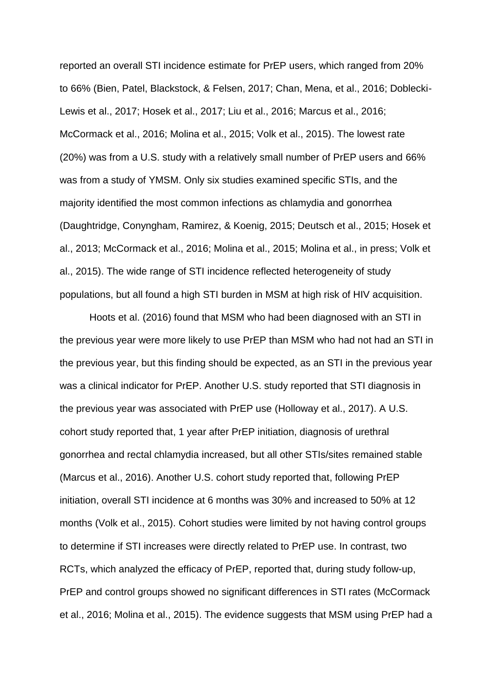reported an overall STI incidence estimate for PrEP users, which ranged from 20% to 66% (Bien, Patel, Blackstock, & Felsen, 2017; Chan, Mena, et al., 2016; Doblecki-Lewis et al., 2017; Hosek et al., 2017; Liu et al., 2016; Marcus et al., 2016; McCormack et al., 2016; Molina et al., 2015; Volk et al., 2015). The lowest rate (20%) was from a U.S. study with a relatively small number of PrEP users and 66% was from a study of YMSM. Only six studies examined specific STIs, and the majority identified the most common infections as chlamydia and gonorrhea (Daughtridge, Conyngham, Ramirez, & Koenig, 2015; Deutsch et al., 2015; Hosek et al., 2013; McCormack et al., 2016; Molina et al., 2015; Molina et al., in press; Volk et al., 2015). The wide range of STI incidence reflected heterogeneity of study populations, but all found a high STI burden in MSM at high risk of HIV acquisition.

Hoots et al. (2016) found that MSM who had been diagnosed with an STI in the previous year were more likely to use PrEP than MSM who had not had an STI in the previous year, but this finding should be expected, as an STI in the previous year was a clinical indicator for PrEP. Another U.S. study reported that STI diagnosis in the previous year was associated with PrEP use (Holloway et al., 2017). A U.S. cohort study reported that, 1 year after PrEP initiation, diagnosis of urethral gonorrhea and rectal chlamydia increased, but all other STIs/sites remained stable (Marcus et al., 2016). Another U.S. cohort study reported that, following PrEP initiation, overall STI incidence at 6 months was 30% and increased to 50% at 12 months (Volk et al., 2015). Cohort studies were limited by not having control groups to determine if STI increases were directly related to PrEP use. In contrast, two RCTs, which analyzed the efficacy of PrEP, reported that, during study follow-up, PrEP and control groups showed no significant differences in STI rates (McCormack et al., 2016; Molina et al., 2015). The evidence suggests that MSM using PrEP had a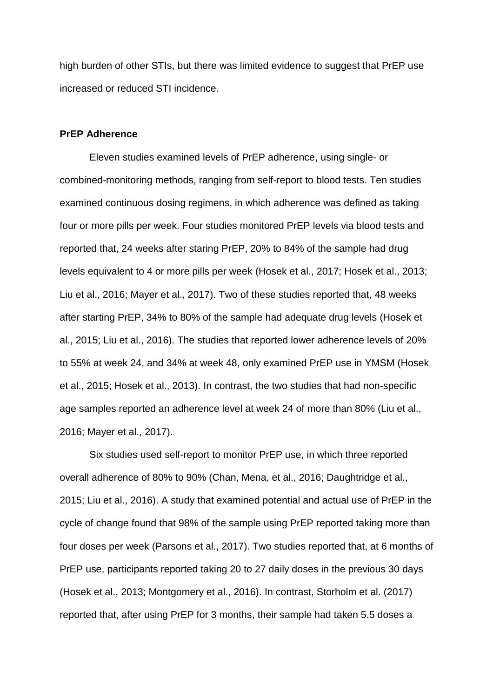high burden of other STIs, but there was limited evidence to suggest that PrEP use increased or reduced STI incidence.

# **PrEP Adherence**

Eleven studies examined levels of PrEP adherence, using single- or combined-monitoring methods, ranging from self-report to blood tests. Ten studies examined continuous dosing regimens, in which adherence was defined as taking four or more pills per week. Four studies monitored PrEP levels via blood tests and reported that, 24 weeks after staring PrEP, 20% to 84% of the sample had drug levels equivalent to 4 or more pills per week (Hosek et al., 2017; Hosek et al., 2013; Liu et al., 2016; Mayer et al., 2017). Two of these studies reported that, 48 weeks after starting PrEP, 34% to 80% of the sample had adequate drug levels (Hosek et al., 2015; Liu et al., 2016). The studies that reported lower adherence levels of 20% to 55% at week 24, and 34% at week 48, only examined PrEP use in YMSM (Hosek et al., 2015; Hosek et al., 2013). In contrast, the two studies that had non-specific age samples reported an adherence level at week 24 of more than 80% (Liu et al., 2016; Mayer et al., 2017).

Six studies used self-report to monitor PrEP use, in which three reported overall adherence of 80% to 90% (Chan, Mena, et al., 2016; Daughtridge et al., 2015; Liu et al., 2016). A study that examined potential and actual use of PrEP in the cycle of change found that 98% of the sample using PrEP reported taking more than four doses per week (Parsons et al., 2017). Two studies reported that, at 6 months of PrEP use, participants reported taking 20 to 27 daily doses in the previous 30 days (Hosek et al., 2013; Montgomery et al., 2016). In contrast, Storholm et al. (2017) reported that, after using PrEP for 3 months, their sample had taken 5.5 doses a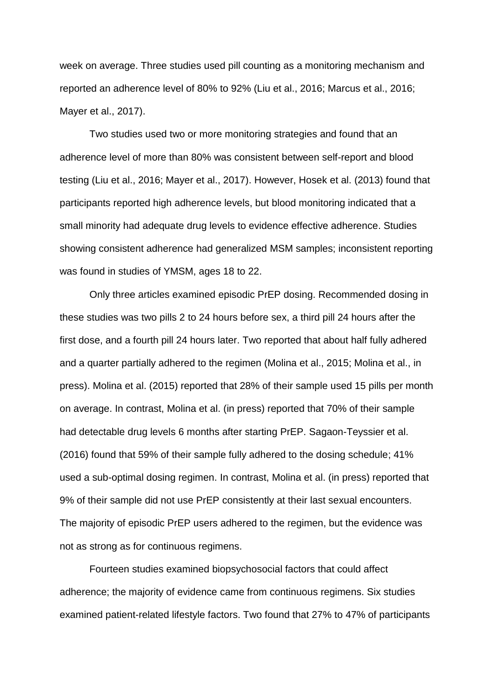week on average. Three studies used pill counting as a monitoring mechanism and reported an adherence level of 80% to 92% (Liu et al., 2016; Marcus et al., 2016; Mayer et al., 2017).

Two studies used two or more monitoring strategies and found that an adherence level of more than 80% was consistent between self-report and blood testing (Liu et al., 2016; Mayer et al., 2017). However, Hosek et al. (2013) found that participants reported high adherence levels, but blood monitoring indicated that a small minority had adequate drug levels to evidence effective adherence. Studies showing consistent adherence had generalized MSM samples; inconsistent reporting was found in studies of YMSM, ages 18 to 22.

Only three articles examined episodic PrEP dosing. Recommended dosing in these studies was two pills 2 to 24 hours before sex, a third pill 24 hours after the first dose, and a fourth pill 24 hours later. Two reported that about half fully adhered and a quarter partially adhered to the regimen (Molina et al., 2015; Molina et al., in press). Molina et al. (2015) reported that 28% of their sample used 15 pills per month on average. In contrast, Molina et al. (in press) reported that 70% of their sample had detectable drug levels 6 months after starting PrEP. Sagaon-Teyssier et al. (2016) found that 59% of their sample fully adhered to the dosing schedule; 41% used a sub-optimal dosing regimen. In contrast, Molina et al. (in press) reported that 9% of their sample did not use PrEP consistently at their last sexual encounters. The majority of episodic PrEP users adhered to the regimen, but the evidence was not as strong as for continuous regimens.

Fourteen studies examined biopsychosocial factors that could affect adherence; the majority of evidence came from continuous regimens. Six studies examined patient-related lifestyle factors. Two found that 27% to 47% of participants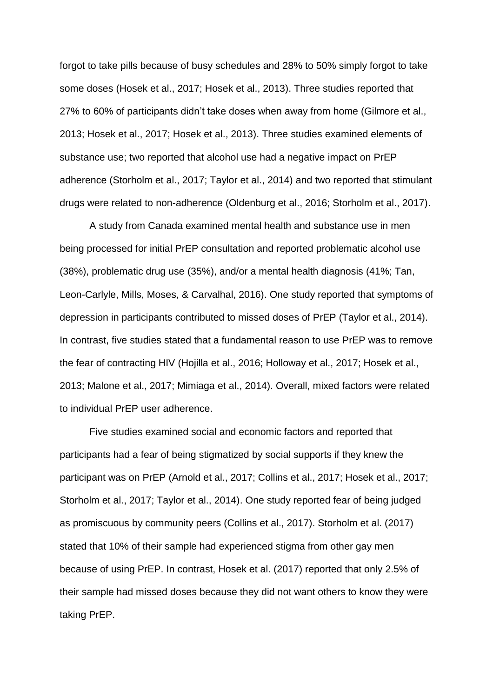forgot to take pills because of busy schedules and 28% to 50% simply forgot to take some doses (Hosek et al., 2017; Hosek et al., 2013). Three studies reported that 27% to 60% of participants didn't take doses when away from home (Gilmore et al., 2013; Hosek et al., 2017; Hosek et al., 2013). Three studies examined elements of substance use; two reported that alcohol use had a negative impact on PrEP adherence (Storholm et al., 2017; Taylor et al., 2014) and two reported that stimulant drugs were related to non-adherence (Oldenburg et al., 2016; Storholm et al., 2017).

A study from Canada examined mental health and substance use in men being processed for initial PrEP consultation and reported problematic alcohol use (38%), problematic drug use (35%), and/or a mental health diagnosis (41%; Tan, Leon-Carlyle, Mills, Moses, & Carvalhal, 2016). One study reported that symptoms of depression in participants contributed to missed doses of PrEP (Taylor et al., 2014). In contrast, five studies stated that a fundamental reason to use PrEP was to remove the fear of contracting HIV (Hojilla et al., 2016; Holloway et al., 2017; Hosek et al., 2013; Malone et al., 2017; Mimiaga et al., 2014). Overall, mixed factors were related to individual PrEP user adherence.

Five studies examined social and economic factors and reported that participants had a fear of being stigmatized by social supports if they knew the participant was on PrEP (Arnold et al., 2017; Collins et al., 2017; Hosek et al., 2017; Storholm et al., 2017; Taylor et al., 2014). One study reported fear of being judged as promiscuous by community peers (Collins et al., 2017). Storholm et al. (2017) stated that 10% of their sample had experienced stigma from other gay men because of using PrEP. In contrast, Hosek et al. (2017) reported that only 2.5% of their sample had missed doses because they did not want others to know they were taking PrEP.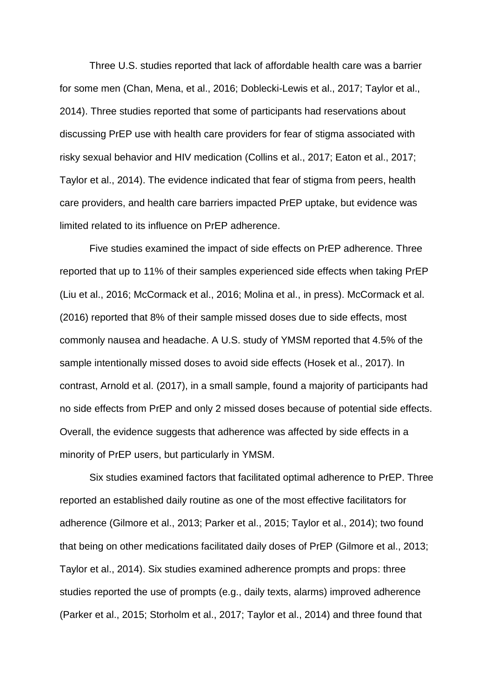Three U.S. studies reported that lack of affordable health care was a barrier for some men (Chan, Mena, et al., 2016; Doblecki-Lewis et al., 2017; Taylor et al., 2014). Three studies reported that some of participants had reservations about discussing PrEP use with health care providers for fear of stigma associated with risky sexual behavior and HIV medication (Collins et al., 2017; Eaton et al., 2017; Taylor et al., 2014). The evidence indicated that fear of stigma from peers, health care providers, and health care barriers impacted PrEP uptake, but evidence was limited related to its influence on PrEP adherence.

Five studies examined the impact of side effects on PrEP adherence. Three reported that up to 11% of their samples experienced side effects when taking PrEP (Liu et al., 2016; McCormack et al., 2016; Molina et al., in press). McCormack et al. (2016) reported that 8% of their sample missed doses due to side effects, most commonly nausea and headache. A U.S. study of YMSM reported that 4.5% of the sample intentionally missed doses to avoid side effects (Hosek et al., 2017). In contrast, Arnold et al. (2017), in a small sample, found a majority of participants had no side effects from PrEP and only 2 missed doses because of potential side effects. Overall, the evidence suggests that adherence was affected by side effects in a minority of PrEP users, but particularly in YMSM.

Six studies examined factors that facilitated optimal adherence to PrEP. Three reported an established daily routine as one of the most effective facilitators for adherence (Gilmore et al., 2013; Parker et al., 2015; Taylor et al., 2014); two found that being on other medications facilitated daily doses of PrEP (Gilmore et al., 2013; Taylor et al., 2014). Six studies examined adherence prompts and props: three studies reported the use of prompts (e.g., daily texts, alarms) improved adherence (Parker et al., 2015; Storholm et al., 2017; Taylor et al., 2014) and three found that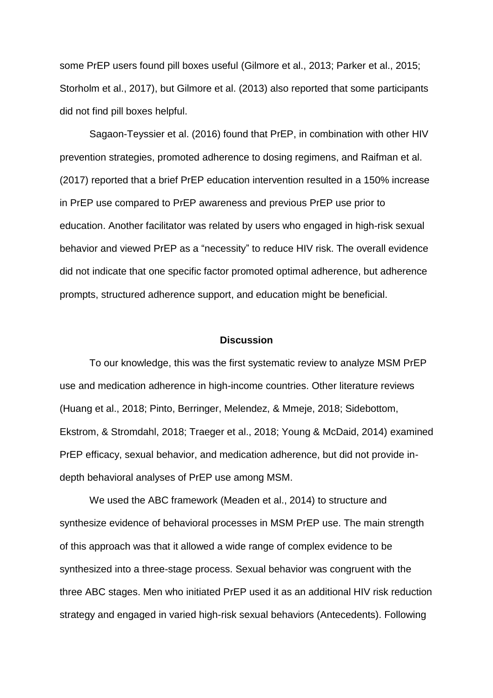some PrEP users found pill boxes useful (Gilmore et al., 2013; Parker et al., 2015; Storholm et al., 2017), but Gilmore et al. (2013) also reported that some participants did not find pill boxes helpful.

Sagaon-Teyssier et al. (2016) found that PrEP, in combination with other HIV prevention strategies, promoted adherence to dosing regimens, and Raifman et al. (2017) reported that a brief PrEP education intervention resulted in a 150% increase in PrEP use compared to PrEP awareness and previous PrEP use prior to education. Another facilitator was related by users who engaged in high-risk sexual behavior and viewed PrEP as a "necessity" to reduce HIV risk. The overall evidence did not indicate that one specific factor promoted optimal adherence, but adherence prompts, structured adherence support, and education might be beneficial.

## **Discussion**

To our knowledge, this was the first systematic review to analyze MSM PrEP use and medication adherence in high-income countries. Other literature reviews (Huang et al., 2018; Pinto, Berringer, Melendez, & Mmeje, 2018; Sidebottom, Ekstrom, & Stromdahl, 2018; Traeger et al., 2018; Young & McDaid, 2014) examined PrEP efficacy, sexual behavior, and medication adherence, but did not provide indepth behavioral analyses of PrEP use among MSM.

We used the ABC framework (Meaden et al., 2014) to structure and synthesize evidence of behavioral processes in MSM PrEP use. The main strength of this approach was that it allowed a wide range of complex evidence to be synthesized into a three-stage process. Sexual behavior was congruent with the three ABC stages. Men who initiated PrEP used it as an additional HIV risk reduction strategy and engaged in varied high-risk sexual behaviors (Antecedents). Following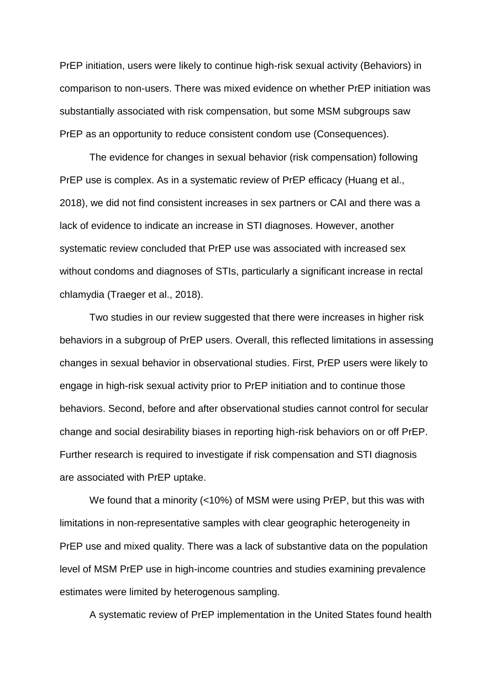PrEP initiation, users were likely to continue high-risk sexual activity (Behaviors) in comparison to non-users. There was mixed evidence on whether PrEP initiation was substantially associated with risk compensation, but some MSM subgroups saw PrEP as an opportunity to reduce consistent condom use (Consequences).

The evidence for changes in sexual behavior (risk compensation) following PrEP use is complex. As in a systematic review of PrEP efficacy (Huang et al., 2018), we did not find consistent increases in sex partners or CAI and there was a lack of evidence to indicate an increase in STI diagnoses. However, another systematic review concluded that PrEP use was associated with increased sex without condoms and diagnoses of STIs, particularly a significant increase in rectal chlamydia (Traeger et al., 2018).

Two studies in our review suggested that there were increases in higher risk behaviors in a subgroup of PrEP users. Overall, this reflected limitations in assessing changes in sexual behavior in observational studies. First, PrEP users were likely to engage in high-risk sexual activity prior to PrEP initiation and to continue those behaviors. Second, before and after observational studies cannot control for secular change and social desirability biases in reporting high-risk behaviors on or off PrEP. Further research is required to investigate if risk compensation and STI diagnosis are associated with PrEP uptake.

We found that a minority (<10%) of MSM were using PrEP, but this was with limitations in non-representative samples with clear geographic heterogeneity in PrEP use and mixed quality. There was a lack of substantive data on the population level of MSM PrEP use in high-income countries and studies examining prevalence estimates were limited by heterogenous sampling.

A systematic review of PrEP implementation in the United States found health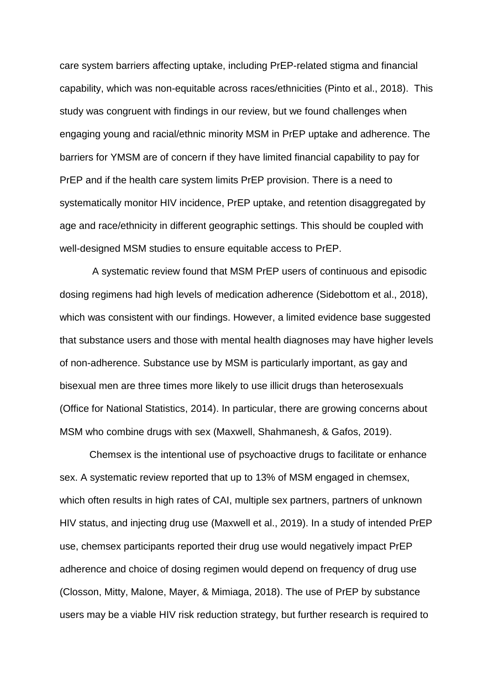care system barriers affecting uptake, including PrEP-related stigma and financial capability, which was non-equitable across races/ethnicities (Pinto et al., 2018). This study was congruent with findings in our review, but we found challenges when engaging young and racial/ethnic minority MSM in PrEP uptake and adherence. The barriers for YMSM are of concern if they have limited financial capability to pay for PrEP and if the health care system limits PrEP provision. There is a need to systematically monitor HIV incidence, PrEP uptake, and retention disaggregated by age and race/ethnicity in different geographic settings. This should be coupled with well-designed MSM studies to ensure equitable access to PrEP.

A systematic review found that MSM PrEP users of continuous and episodic dosing regimens had high levels of medication adherence (Sidebottom et al., 2018), which was consistent with our findings. However, a limited evidence base suggested that substance users and those with mental health diagnoses may have higher levels of non-adherence. Substance use by MSM is particularly important, as gay and bisexual men are three times more likely to use illicit drugs than heterosexuals (Office for National Statistics, 2014). In particular, there are growing concerns about MSM who combine drugs with sex (Maxwell, Shahmanesh, & Gafos, 2019).

Chemsex is the intentional use of psychoactive drugs to facilitate or enhance sex. A systematic review reported that up to 13% of MSM engaged in chemsex, which often results in high rates of CAI, multiple sex partners, partners of unknown HIV status, and injecting drug use (Maxwell et al., 2019). In a study of intended PrEP use, chemsex participants reported their drug use would negatively impact PrEP adherence and choice of dosing regimen would depend on frequency of drug use (Closson, Mitty, Malone, Mayer, & Mimiaga, 2018). The use of PrEP by substance users may be a viable HIV risk reduction strategy, but further research is required to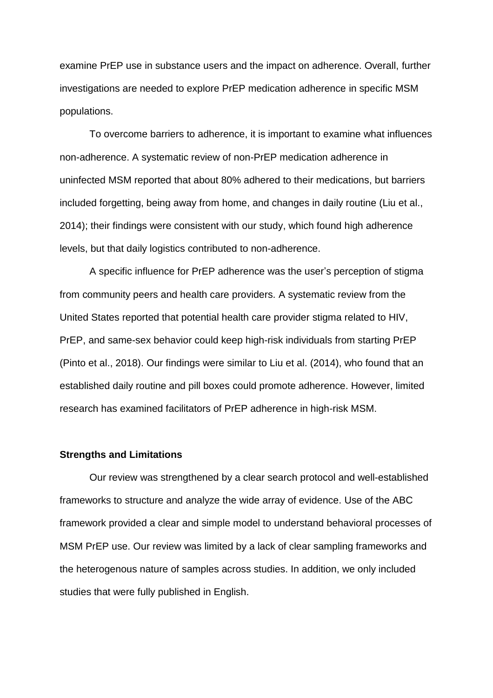examine PrEP use in substance users and the impact on adherence. Overall, further investigations are needed to explore PrEP medication adherence in specific MSM populations.

To overcome barriers to adherence, it is important to examine what influences non-adherence. A systematic review of non-PrEP medication adherence in uninfected MSM reported that about 80% adhered to their medications, but barriers included forgetting, being away from home, and changes in daily routine (Liu et al., 2014); their findings were consistent with our study, which found high adherence levels, but that daily logistics contributed to non-adherence.

A specific influence for PrEP adherence was the user's perception of stigma from community peers and health care providers. A systematic review from the United States reported that potential health care provider stigma related to HIV, PrEP, and same-sex behavior could keep high-risk individuals from starting PrEP (Pinto et al., 2018). Our findings were similar to Liu et al. (2014), who found that an established daily routine and pill boxes could promote adherence. However, limited research has examined facilitators of PrEP adherence in high-risk MSM.

#### **Strengths and Limitations**

Our review was strengthened by a clear search protocol and well-established frameworks to structure and analyze the wide array of evidence. Use of the ABC framework provided a clear and simple model to understand behavioral processes of MSM PrEP use. Our review was limited by a lack of clear sampling frameworks and the heterogenous nature of samples across studies. In addition, we only included studies that were fully published in English.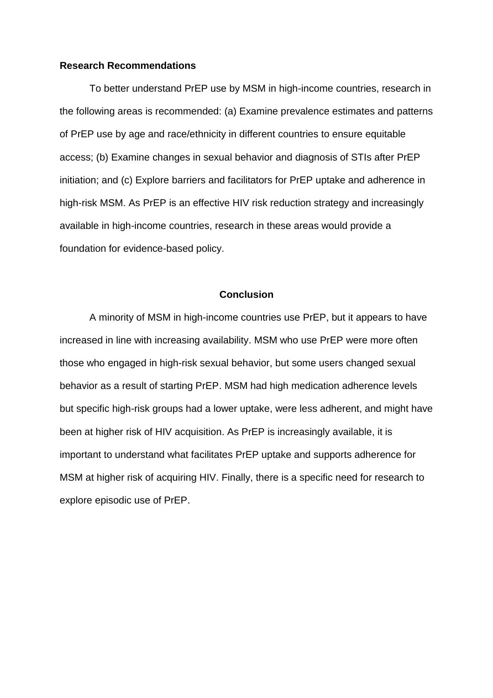# **Research Recommendations**

To better understand PrEP use by MSM in high-income countries, research in the following areas is recommended: (a) Examine prevalence estimates and patterns of PrEP use by age and race/ethnicity in different countries to ensure equitable access; (b) Examine changes in sexual behavior and diagnosis of STIs after PrEP initiation; and (c) Explore barriers and facilitators for PrEP uptake and adherence in high-risk MSM. As PrEP is an effective HIV risk reduction strategy and increasingly available in high-income countries, research in these areas would provide a foundation for evidence-based policy.

# **Conclusion**

A minority of MSM in high-income countries use PrEP, but it appears to have increased in line with increasing availability. MSM who use PrEP were more often those who engaged in high-risk sexual behavior, but some users changed sexual behavior as a result of starting PrEP. MSM had high medication adherence levels but specific high-risk groups had a lower uptake, were less adherent, and might have been at higher risk of HIV acquisition. As PrEP is increasingly available, it is important to understand what facilitates PrEP uptake and supports adherence for MSM at higher risk of acquiring HIV. Finally, there is a specific need for research to explore episodic use of PrEP.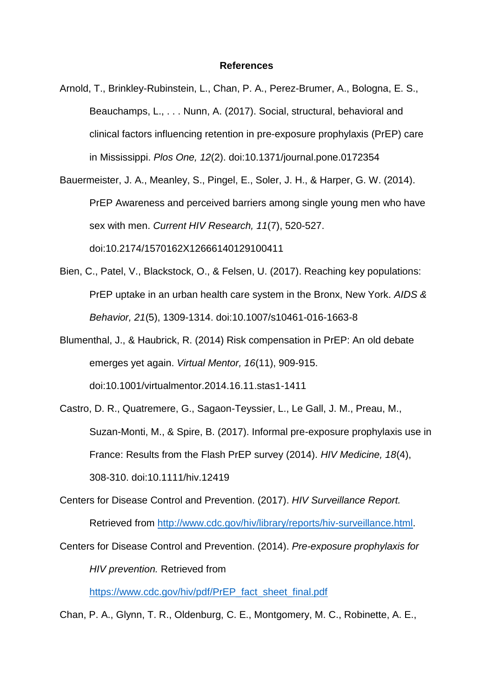#### **References**

Arnold, T., Brinkley-Rubinstein, L., Chan, P. A., Perez-Brumer, A., Bologna, E. S., Beauchamps, L., . . . Nunn, A. (2017). Social, structural, behavioral and clinical factors influencing retention in pre-exposure prophylaxis (PrEP) care in Mississippi. *Plos One, 12*(2). doi:10.1371/journal.pone.0172354

Bauermeister, J. A., Meanley, S., Pingel, E., Soler, J. H., & Harper, G. W. (2014). PrEP Awareness and perceived barriers among single young men who have sex with men. *Current HIV Research, 11*(7), 520-527. doi:10.2174/1570162X12666140129100411

- Bien, C., Patel, V., Blackstock, O., & Felsen, U. (2017). Reaching key populations: PrEP uptake in an urban health care system in the Bronx, New York. *AIDS & Behavior, 21*(5), 1309-1314. doi:10.1007/s10461-016-1663-8
- Blumenthal, J., & Haubrick, R. (2014) Risk compensation in PrEP: An old debate emerges yet again. *Virtual Mentor, 16*(11), 909-915. doi:10.1001/virtualmentor.2014.16.11.stas1-1411
- Castro, D. R., Quatremere, G., Sagaon-Teyssier, L., Le Gall, J. M., Preau, M., Suzan-Monti, M., & Spire, B. (2017). Informal pre-exposure prophylaxis use in France: Results from the Flash PrEP survey (2014). *HIV Medicine, 18*(4), 308-310. doi:10.1111/hiv.12419
- Centers for Disease Control and Prevention. (2017). *HIV Surveillance Report.* Retrieved from [http://www.cdc.gov/hiv/library/reports/hiv-surveillance.html.](http://www.cdc.gov/hiv/library/reports/hiv-surveillance.html)

Centers for Disease Control and Prevention. (2014). *Pre-exposure prophylaxis for HIV prevention.* Retrieved from [https://www.cdc.gov/hiv/pdf/PrEP\\_fact\\_sheet\\_final.pdf](https://www.cdc.gov/hiv/pdf/PrEP_fact_sheet_final.pdf) 

Chan, P. A., Glynn, T. R., Oldenburg, C. E., Montgomery, M. C., Robinette, A. E.,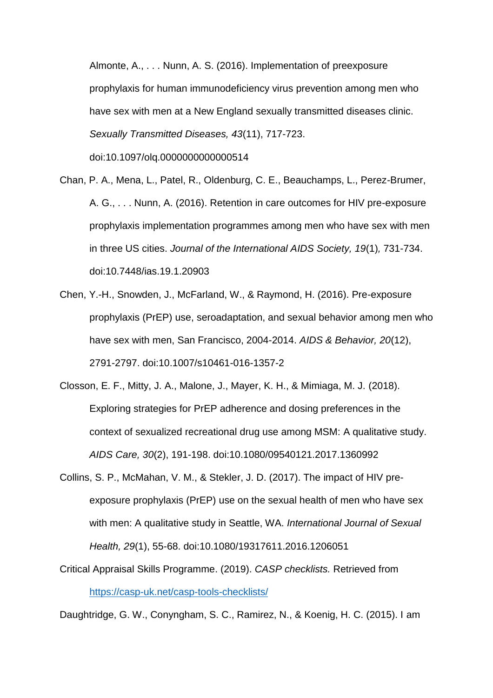Almonte, A., . . . Nunn, A. S. (2016). Implementation of preexposure prophylaxis for human immunodeficiency virus prevention among men who have sex with men at a New England sexually transmitted diseases clinic. *Sexually Transmitted Diseases, 43*(11), 717-723. doi:10.1097/olq.0000000000000514

Chan, P. A., Mena, L., Patel, R., Oldenburg, C. E., Beauchamps, L., Perez-Brumer, A. G., . . . Nunn, A. (2016). Retention in care outcomes for HIV pre-exposure prophylaxis implementation programmes among men who have sex with men in three US cities. *Journal of the International AIDS Society, 19*(1)*,* 731-734. doi:10.7448/ias.19.1.20903

Chen, Y.-H., Snowden, J., McFarland, W., & Raymond, H. (2016). Pre-exposure prophylaxis (PrEP) use, seroadaptation, and sexual behavior among men who have sex with men, San Francisco, 2004-2014. *AIDS & Behavior, 20*(12), 2791-2797. doi:10.1007/s10461-016-1357-2

Closson, E. F., Mitty, J. A., Malone, J., Mayer, K. H., & Mimiaga, M. J. (2018). Exploring strategies for PrEP adherence and dosing preferences in the context of sexualized recreational drug use among MSM: A qualitative study. *AIDS Care, 30*(2), 191-198. doi:10.1080/09540121.2017.1360992

Collins, S. P., McMahan, V. M., & Stekler, J. D. (2017). The impact of HIV preexposure prophylaxis (PrEP) use on the sexual health of men who have sex with men: A qualitative study in Seattle, WA. *International Journal of Sexual Health, 29*(1), 55-68. doi:10.1080/19317611.2016.1206051

Critical Appraisal Skills Programme. (2019). *CASP checklists.* Retrieved from <https://casp-uk.net/casp-tools-checklists/>

Daughtridge, G. W., Conyngham, S. C., Ramirez, N., & Koenig, H. C. (2015). I am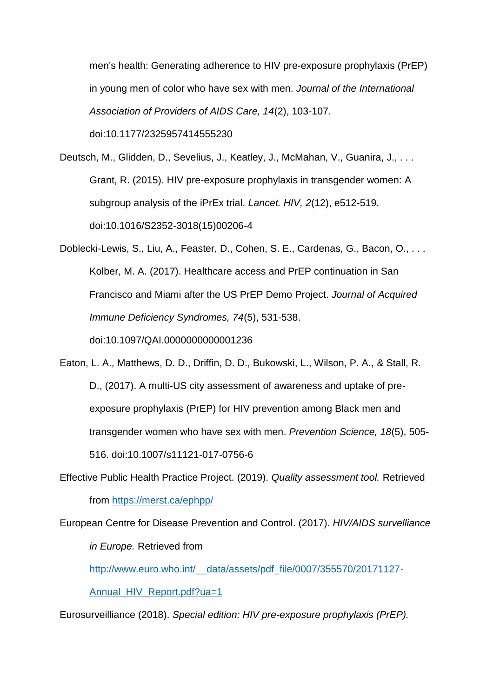men's health: Generating adherence to HIV pre-exposure prophylaxis (PrEP) in young men of color who have sex with men. *Journal of the International Association of Providers of AIDS Care, 14*(2), 103-107. doi:10.1177/2325957414555230

- Deutsch, M., Glidden, D., Sevelius, J., Keatley, J., McMahan, V., Guanira, J., . . . Grant, R. (2015). HIV pre-exposure prophylaxis in transgender women: A subgroup analysis of the iPrEx trial. *Lancet. HIV, 2*(12), e512-519. doi:10.1016/S2352-3018(15)00206-4
- Doblecki-Lewis, S., Liu, A., Feaster, D., Cohen, S. E., Cardenas, G., Bacon, O., . . . Kolber, M. A. (2017). Healthcare access and PrEP continuation in San Francisco and Miami after the US PrEP Demo Project. *Journal of Acquired Immune Deficiency Syndromes, 74*(5), 531-538. doi:10.1097/QAI.0000000000001236
- Eaton, L. A., Matthews, D. D., Driffin, D. D., Bukowski, L., Wilson, P. A., & Stall, R. D., (2017). A multi-US city assessment of awareness and uptake of preexposure prophylaxis (PrEP) for HIV prevention among Black men and transgender women who have sex with men. *Prevention Science, 18*(5), 505- 516. doi:10.1007/s11121-017-0756-6
- Effective Public Health Practice Project. (2019). *Quality assessment tool.* Retrieved from<https://merst.ca/ephpp/>
- European Centre for Disease Prevention and Control. (2017). *HIV/AIDS survelliance in Europe.* Retrieved from

http://www.euro.who.int/ data/assets/pdf file/0007/355570/20171127-[Annual\\_HIV\\_Report.pdf?ua=1](http://www.euro.who.int/__data/assets/pdf_file/0007/355570/20171127-Annual_HIV_Report.pdf?ua=1)

Eurosurveilliance (2018). *Special edition: HIV pre-exposure prophylaxis (PrEP).*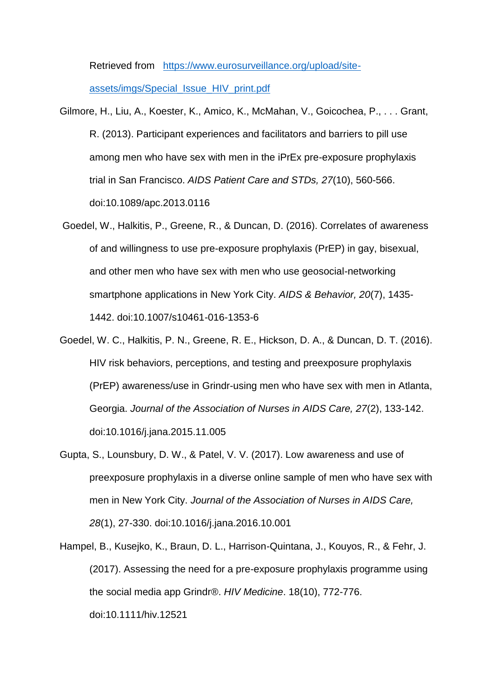Retrieved from [https://www.eurosurveillance.org/upload/site](https://www.eurosurveillance.org/upload/site-assets/imgs/Special_Issue_HIV_print.pdf)[assets/imgs/Special\\_Issue\\_HIV\\_print.pdf](https://www.eurosurveillance.org/upload/site-assets/imgs/Special_Issue_HIV_print.pdf)

- Gilmore, H., Liu, A., Koester, K., Amico, K., McMahan, V., Goicochea, P., . . . Grant, R. (2013). Participant experiences and facilitators and barriers to pill use among men who have sex with men in the iPrEx pre-exposure prophylaxis trial in San Francisco. *AIDS Patient Care and STDs, 27*(10), 560-566. doi:10.1089/apc.2013.0116
- Goedel, W., Halkitis, P., Greene, R., & Duncan, D. (2016). Correlates of awareness of and willingness to use pre-exposure prophylaxis (PrEP) in gay, bisexual, and other men who have sex with men who use geosocial-networking smartphone applications in New York City. *AIDS & Behavior, 20*(7), 1435- 1442. doi:10.1007/s10461-016-1353-6
- Goedel, W. C., Halkitis, P. N., Greene, R. E., Hickson, D. A., & Duncan, D. T. (2016). HIV risk behaviors, perceptions, and testing and preexposure prophylaxis (PrEP) awareness/use in Grindr-using men who have sex with men in Atlanta, Georgia. *Journal of the Association of Nurses in AIDS Care, 27*(2), 133-142. doi:10.1016/j.jana.2015.11.005
- Gupta, S., Lounsbury, D. W., & Patel, V. V. (2017). Low awareness and use of preexposure prophylaxis in a diverse online sample of men who have sex with men in New York City. *Journal of the Association of Nurses in AIDS Care, 28*(1), 27-330. doi:10.1016/j.jana.2016.10.001
- Hampel, B., Kusejko, K., Braun, D. L., Harrison-Quintana, J., Kouyos, R., & Fehr, J. (2017). Assessing the need for a pre-exposure prophylaxis programme using the social media app Grindr®. *HIV Medicine*. 18(10), 772-776. doi:10.1111/hiv.12521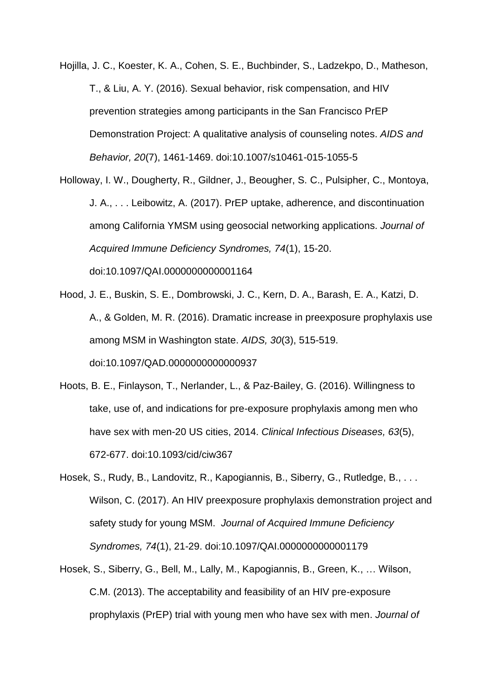Hojilla, J. C., Koester, K. A., Cohen, S. E., Buchbinder, S., Ladzekpo, D., Matheson, T., & Liu, A. Y. (2016). Sexual behavior, risk compensation, and HIV prevention strategies among participants in the San Francisco PrEP Demonstration Project: A qualitative analysis of counseling notes. *AIDS and Behavior, 20*(7), 1461-1469. doi:10.1007/s10461-015-1055-5

Holloway, I. W., Dougherty, R., Gildner, J., Beougher, S. C., Pulsipher, C., Montoya, J. A., . . . Leibowitz, A. (2017). PrEP uptake, adherence, and discontinuation among California YMSM using geosocial networking applications. *Journal of Acquired Immune Deficiency Syndromes, 74*(1), 15-20. doi:10.1097/QAI.0000000000001164

Hood, J. E., Buskin, S. E., Dombrowski, J. C., Kern, D. A., Barash, E. A., Katzi, D. A., & Golden, M. R. (2016). Dramatic increase in preexposure prophylaxis use among MSM in Washington state. *AIDS, 30*(3), 515-519. doi:10.1097/QAD.0000000000000937

Hoots, B. E., Finlayson, T., Nerlander, L., & Paz-Bailey, G. (2016). Willingness to take, use of, and indications for pre-exposure prophylaxis among men who have sex with men-20 US cities, 2014. *Clinical Infectious Diseases, 63*(5), 672-677. doi:10.1093/cid/ciw367

Hosek, S., Rudy, B., Landovitz, R., Kapogiannis, B., Siberry, G., Rutledge, B., . . . Wilson, C. (2017). An HIV preexposure prophylaxis demonstration project and safety study for young MSM. *Journal of Acquired Immune Deficiency Syndromes, 74*(1), 21-29. doi:10.1097/QAI.0000000000001179

Hosek, S., Siberry, G., Bell, M., Lally, M., Kapogiannis, B., Green, K., … Wilson, C.M. (2013). The acceptability and feasibility of an HIV pre-exposure prophylaxis (PrEP) trial with young men who have sex with men. *Journal of*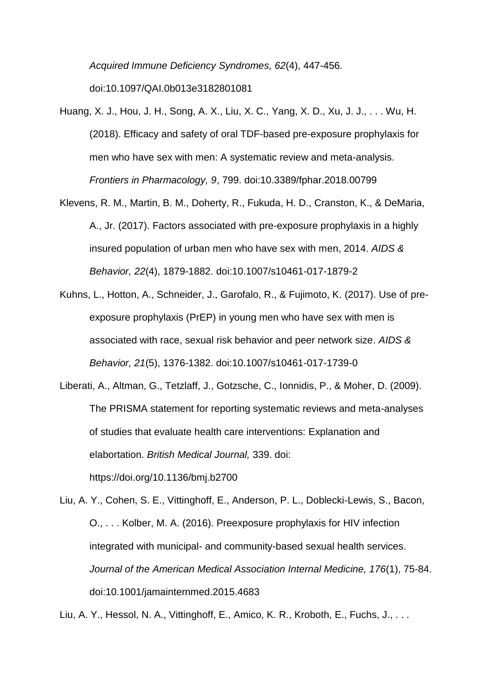*Acquired Immune Deficiency Syndromes, 62*(4), 447-456. doi:10.1097/QAI.0b013e3182801081

- Huang, X. J., Hou, J. H., Song, A. X., Liu, X. C., Yang, X. D., Xu, J. J., . . . Wu, H. (2018). Efficacy and safety of oral TDF-based pre-exposure prophylaxis for men who have sex with men: A systematic review and meta-analysis. *Frontiers in Pharmacology, 9*, 799. doi:10.3389/fphar.2018.00799
- Klevens, R. M., Martin, B. M., Doherty, R., Fukuda, H. D., Cranston, K., & DeMaria, A., Jr. (2017). Factors associated with pre-exposure prophylaxis in a highly insured population of urban men who have sex with men, 2014. *AIDS & Behavior, 22*(4), 1879-1882. doi:10.1007/s10461-017-1879-2
- Kuhns, L., Hotton, A., Schneider, J., Garofalo, R., & Fujimoto, K. (2017). Use of preexposure prophylaxis (PrEP) in young men who have sex with men is associated with race, sexual risk behavior and peer network size. *AIDS & Behavior, 21*(5), 1376-1382. doi:10.1007/s10461-017-1739-0
- Liberati, A., Altman, G., Tetzlaff, J., Gotzsche, C., Ionnidis, P., & Moher, D. (2009). The PRISMA statement for reporting systematic reviews and meta-analyses of studies that evaluate health care interventions: Explanation and elabortation. *British Medical Journal,* 339. doi:

https://doi.org/10.1136/bmj.b2700

Liu, A. Y., Cohen, S. E., Vittinghoff, E., Anderson, P. L., Doblecki-Lewis, S., Bacon, O., . . . Kolber, M. A. (2016). Preexposure prophylaxis for HIV infection integrated with municipal- and community-based sexual health services. *Journal of the American Medical Association Internal Medicine, 176*(1), 75-84. doi:10.1001/jamainternmed.2015.4683

Liu, A. Y., Hessol, N. A., Vittinghoff, E., Amico, K. R., Kroboth, E., Fuchs, J., . . .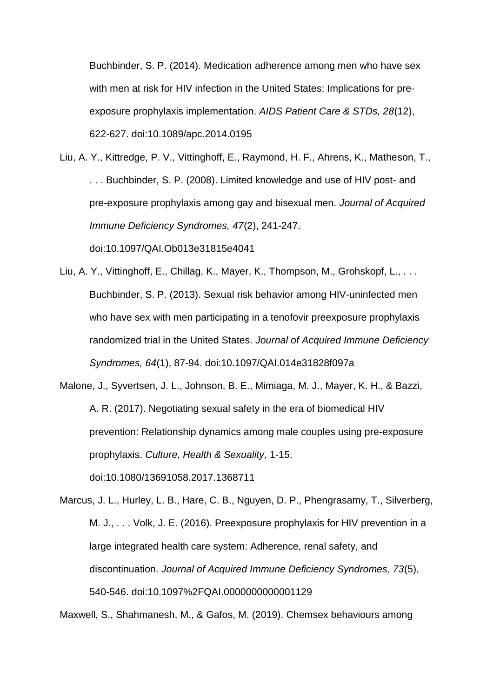Buchbinder, S. P. (2014). Medication adherence among men who have sex with men at risk for HIV infection in the United States: Implications for preexposure prophylaxis implementation. *AIDS Patient Care & STDs, 28*(12), 622-627. doi:10.1089/apc.2014.0195

Liu, A. Y., Kittredge, P. V., Vittinghoff, E., Raymond, H. F., Ahrens, K., Matheson, T., . . . Buchbinder, S. P. (2008). Limited knowledge and use of HIV post- and pre-exposure prophylaxis among gay and bisexual men. *Journal of Acquired Immune Deficiency Syndromes, 47*(2), 241-247.

doi:10.1097/QAI.Ob013e31815e4041

Liu, A. Y., Vittinghoff, E., Chillag, K., Mayer, K., Thompson, M., Grohskopf, L., . . . Buchbinder, S. P. (2013). Sexual risk behavior among HIV-uninfected men who have sex with men participating in a tenofovir preexposure prophylaxis randomized trial in the United States. *Journal of Acquired Immune Deficiency Syndromes, 64*(1), 87-94. doi:10.1097/QAI.014e31828f097a

Malone, J., Syvertsen, J. L., Johnson, B. E., Mimiaga, M. J., Mayer, K. H., & Bazzi, A. R. (2017). Negotiating sexual safety in the era of biomedical HIV prevention: Relationship dynamics among male couples using pre-exposure prophylaxis. *Culture, Health & Sexuality*, 1-15. doi:10.1080/13691058.2017.1368711

Marcus, J. L., Hurley, L. B., Hare, C. B., Nguyen, D. P., Phengrasamy, T., Silverberg, M. J., . . . Volk, J. E. (2016). Preexposure prophylaxis for HIV prevention in a large integrated health care system: Adherence, renal safety, and discontinuation. *Journal of Acquired Immune Deficiency Syndromes, 73*(5), 540-546. doi:10.1097%2FQAI.0000000000001129

Maxwell, S., Shahmanesh, M., & Gafos, M. (2019). Chemsex behaviours among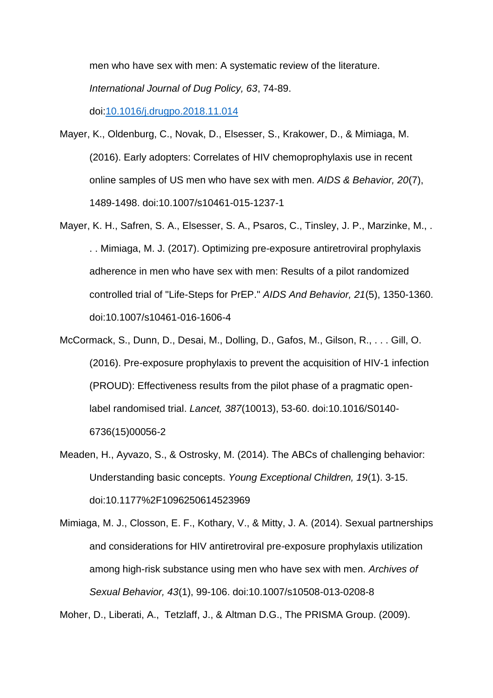men who have sex with men: A systematic review of the literature. *International Journal of Dug Policy, 63*, 74-89. doi[:10.1016/j.drugpo.2018.11.014](https://doi.org/10.1016/j.drugpo.2018.11.014)

- Mayer, K., Oldenburg, C., Novak, D., Elsesser, S., Krakower, D., & Mimiaga, M. (2016). Early adopters: Correlates of HIV chemoprophylaxis use in recent online samples of US men who have sex with men. *AIDS & Behavior, 20*(7), 1489-1498. doi:10.1007/s10461-015-1237-1
- Mayer, K. H., Safren, S. A., Elsesser, S. A., Psaros, C., Tinsley, J. P., Marzinke, M., . . . Mimiaga, M. J. (2017). Optimizing pre-exposure antiretroviral prophylaxis adherence in men who have sex with men: Results of a pilot randomized controlled trial of "Life-Steps for PrEP." *AIDS And Behavior, 21*(5), 1350-1360. doi:10.1007/s10461-016-1606-4
- McCormack, S., Dunn, D., Desai, M., Dolling, D., Gafos, M., Gilson, R., . . . Gill, O. (2016). Pre-exposure prophylaxis to prevent the acquisition of HIV-1 infection (PROUD): Effectiveness results from the pilot phase of a pragmatic openlabel randomised trial. *Lancet, 387*(10013), 53-60. doi:10.1016/S0140- 6736(15)00056-2
- Meaden, H., Ayvazo, S., & Ostrosky, M. (2014). The ABCs of challenging behavior: Understanding basic concepts. *Young Exceptional Children, 19*(1). 3-15. doi:10.1177%2F1096250614523969

Mimiaga, M. J., Closson, E. F., Kothary, V., & Mitty, J. A. (2014). Sexual partnerships and considerations for HIV antiretroviral pre-exposure prophylaxis utilization among high-risk substance using men who have sex with men. *Archives of Sexual Behavior, 43*(1), 99-106. doi:10.1007/s10508-013-0208-8

Moher, D., Liberati, A., Tetzlaff, J., & Altman D.G., The PRISMA Group. (2009).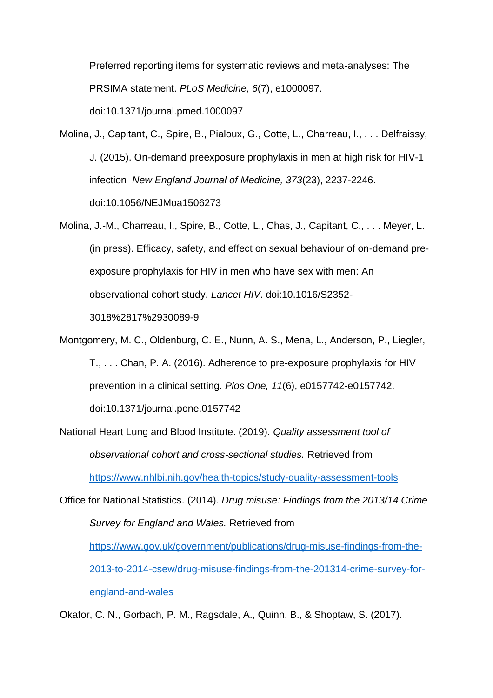Preferred reporting items for systematic reviews and meta-analyses: The PRSIMA statement. *PLoS Medicine, 6*(7), e1000097. doi:10.1371/journal.pmed.1000097

- Molina, J., Capitant, C., Spire, B., Pialoux, G., Cotte, L., Charreau, I., . . . Delfraissy, J. (2015). On-demand preexposure prophylaxis in men at high risk for HIV-1 infection *New England Journal of Medicine, 373*(23), 2237-2246. doi:10.1056/NEJMoa1506273
- Molina, J.-M., Charreau, I., Spire, B., Cotte, L., Chas, J., Capitant, C., . . . Meyer, L. (in press). Efficacy, safety, and effect on sexual behaviour of on-demand preexposure prophylaxis for HIV in men who have sex with men: An observational cohort study. *Lancet HIV*. doi:10.1016/S2352- 3018%2817%2930089-9
- Montgomery, M. C., Oldenburg, C. E., Nunn, A. S., Mena, L., Anderson, P., Liegler, T., . . . Chan, P. A. (2016). Adherence to pre-exposure prophylaxis for HIV prevention in a clinical setting. *Plos One, 11*(6), e0157742-e0157742. doi:10.1371/journal.pone.0157742
- National Heart Lung and Blood Institute. (2019). *Quality assessment tool of observational cohort and cross-sectional studies.* Retrieved from

<https://www.nhlbi.nih.gov/health-topics/study-quality-assessment-tools>

Office for National Statistics. (2014). *Drug misuse: Findings from the 2013/14 Crime Survey for England and Wales.* Retrieved from [https://www.gov.uk/government/publications/drug-misuse-findings-from-the-](https://www.gov.uk/government/publications/drug-misuse-findings-from-the-2013-to-2014-csew/drug-misuse-findings-from-the-201314-crime-survey-for-england-and-wales)[2013-to-2014-csew/drug-misuse-findings-from-the-201314-crime-survey-for](https://www.gov.uk/government/publications/drug-misuse-findings-from-the-2013-to-2014-csew/drug-misuse-findings-from-the-201314-crime-survey-for-england-and-wales)[england-and-wales](https://www.gov.uk/government/publications/drug-misuse-findings-from-the-2013-to-2014-csew/drug-misuse-findings-from-the-201314-crime-survey-for-england-and-wales)

Okafor, C. N., Gorbach, P. M., Ragsdale, A., Quinn, B., & Shoptaw, S. (2017).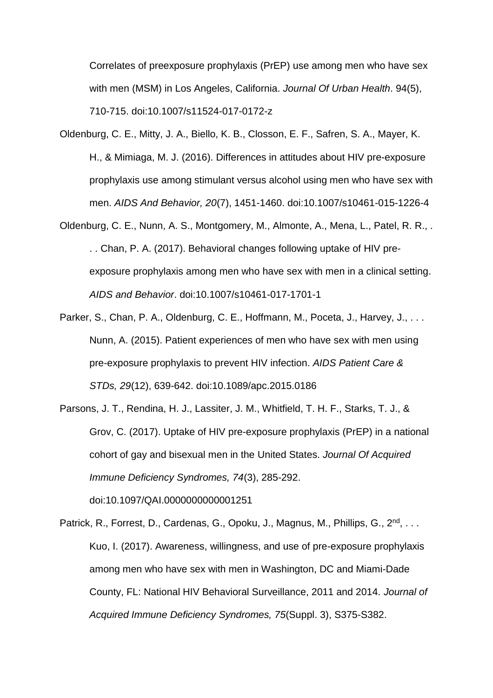Correlates of preexposure prophylaxis (PrEP) use among men who have sex with men (MSM) in Los Angeles, California. *Journal Of Urban Health*. 94(5), 710-715. doi:10.1007/s11524-017-0172-z

- Oldenburg, C. E., Mitty, J. A., Biello, K. B., Closson, E. F., Safren, S. A., Mayer, K. H., & Mimiaga, M. J. (2016). Differences in attitudes about HIV pre-exposure prophylaxis use among stimulant versus alcohol using men who have sex with men. *AIDS And Behavior, 20*(7), 1451-1460. doi:10.1007/s10461-015-1226-4
- Oldenburg, C. E., Nunn, A. S., Montgomery, M., Almonte, A., Mena, L., Patel, R. R., . . . Chan, P. A. (2017). Behavioral changes following uptake of HIV preexposure prophylaxis among men who have sex with men in a clinical setting. *AIDS and Behavior*. doi:10.1007/s10461-017-1701-1
- Parker, S., Chan, P. A., Oldenburg, C. E., Hoffmann, M., Poceta, J., Harvey, J., ... Nunn, A. (2015). Patient experiences of men who have sex with men using pre-exposure prophylaxis to prevent HIV infection. *AIDS Patient Care & STDs, 29*(12), 639-642. doi:10.1089/apc.2015.0186
- Parsons, J. T., Rendina, H. J., Lassiter, J. M., Whitfield, T. H. F., Starks, T. J., & Grov, C. (2017). Uptake of HIV pre-exposure prophylaxis (PrEP) in a national cohort of gay and bisexual men in the United States. *Journal Of Acquired Immune Deficiency Syndromes, 74*(3), 285-292. doi:10.1097/QAI.0000000000001251
- Patrick, R., Forrest, D., Cardenas, G., Opoku, J., Magnus, M., Phillips, G., 2<sup>nd</sup>, ... Kuo, I. (2017). Awareness, willingness, and use of pre-exposure prophylaxis among men who have sex with men in Washington, DC and Miami-Dade County, FL: National HIV Behavioral Surveillance, 2011 and 2014. *Journal of Acquired Immune Deficiency Syndromes, 75*(Suppl. 3), S375-S382.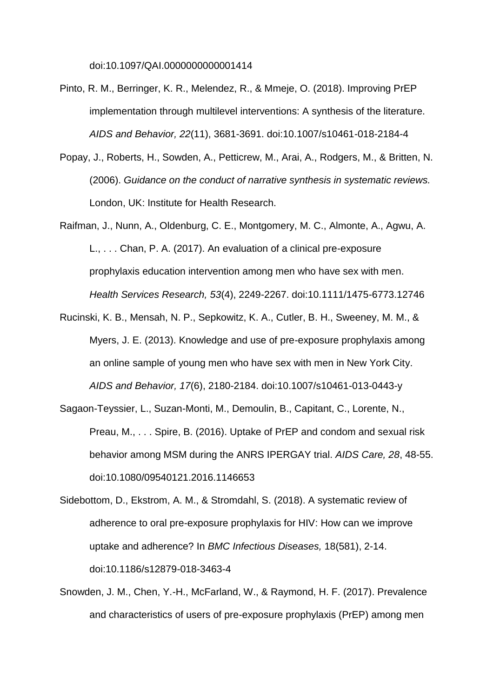doi:10.1097/QAI.0000000000001414

- Pinto, R. M., Berringer, K. R., Melendez, R., & Mmeje, O. (2018). Improving PrEP implementation through multilevel interventions: A synthesis of the literature. *AIDS and Behavior, 22*(11), 3681-3691. doi:10.1007/s10461-018-2184-4
- Popay, J., Roberts, H., Sowden, A., Petticrew, M., Arai, A., Rodgers, M., & Britten, N. (2006). *Guidance on the conduct of narrative synthesis in systematic reviews.* London, UK: Institute for Health Research.
- Raifman, J., Nunn, A., Oldenburg, C. E., Montgomery, M. C., Almonte, A., Agwu, A. L., . . . Chan, P. A. (2017). An evaluation of a clinical pre-exposure prophylaxis education intervention among men who have sex with men. *Health Services Research, 53*(4), 2249-2267. doi:10.1111/1475-6773.12746
- Rucinski, K. B., Mensah, N. P., Sepkowitz, K. A., Cutler, B. H., Sweeney, M. M., & Myers, J. E. (2013). Knowledge and use of pre-exposure prophylaxis among an online sample of young men who have sex with men in New York City. *AIDS and Behavior, 17*(6), 2180-2184. doi:10.1007/s10461-013-0443-y
- Sagaon-Teyssier, L., Suzan-Monti, M., Demoulin, B., Capitant, C., Lorente, N., Preau, M., . . . Spire, B. (2016). Uptake of PrEP and condom and sexual risk behavior among MSM during the ANRS IPERGAY trial. *AIDS Care, 28*, 48-55. doi:10.1080/09540121.2016.1146653
- Sidebottom, D., Ekstrom, A. M., & Stromdahl, S. (2018). A systematic review of adherence to oral pre-exposure prophylaxis for HIV: How can we improve uptake and adherence? In *BMC Infectious Diseases,* 18(581), 2-14. doi:10.1186/s12879-018-3463-4
- Snowden, J. M., Chen, Y.-H., McFarland, W., & Raymond, H. F. (2017). Prevalence and characteristics of users of pre-exposure prophylaxis (PrEP) among men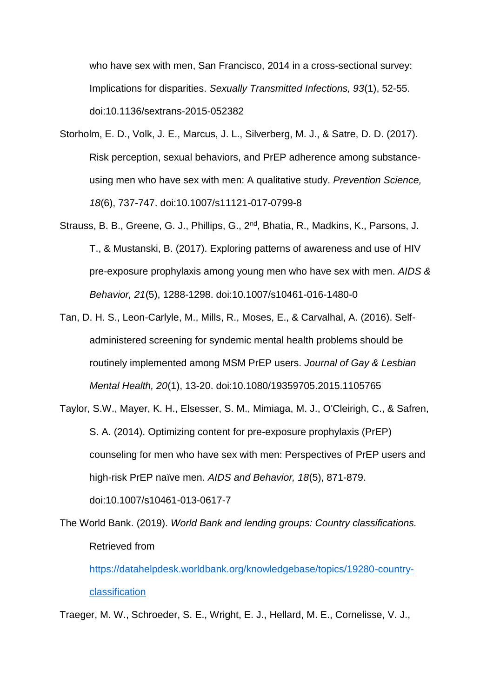who have sex with men, San Francisco, 2014 in a cross-sectional survey: Implications for disparities. *Sexually Transmitted Infections, 93*(1), 52-55. doi:10.1136/sextrans-2015-052382

- Storholm, E. D., Volk, J. E., Marcus, J. L., Silverberg, M. J., & Satre, D. D. (2017). Risk perception, sexual behaviors, and PrEP adherence among substanceusing men who have sex with men: A qualitative study. *Prevention Science, 18*(6), 737-747. doi:10.1007/s11121-017-0799-8
- Strauss, B. B., Greene, G. J., Phillips, G., 2<sup>nd</sup>, Bhatia, R., Madkins, K., Parsons, J. T., & Mustanski, B. (2017). Exploring patterns of awareness and use of HIV pre-exposure prophylaxis among young men who have sex with men. *AIDS & Behavior, 21*(5), 1288-1298. doi:10.1007/s10461-016-1480-0
- Tan, D. H. S., Leon-Carlyle, M., Mills, R., Moses, E., & Carvalhal, A. (2016). Selfadministered screening for syndemic mental health problems should be routinely implemented among MSM PrEP users. *Journal of Gay & Lesbian Mental Health, 20*(1), 13-20. doi:10.1080/19359705.2015.1105765
- Taylor, S.W., Mayer, K. H., Elsesser, S. M., Mimiaga, M. J., O'Cleirigh, C., & Safren, S. A. (2014). Optimizing content for pre-exposure prophylaxis (PrEP) counseling for men who have sex with men: Perspectives of PrEP users and high-risk PrEP naïve men. *AIDS and Behavior, 18*(5), 871-879. doi:10.1007/s10461-013-0617-7

The World Bank. (2019). *World Bank and lending groups: Country classifications.*  Retrieved from

[https://datahelpdesk.worldbank.org/knowledgebase/topics/19280-country](https://datahelpdesk.worldbank.org/knowledgebase/topics/19280-country-classification)**classification** 

Traeger, M. W., Schroeder, S. E., Wright, E. J., Hellard, M. E., Cornelisse, V. J.,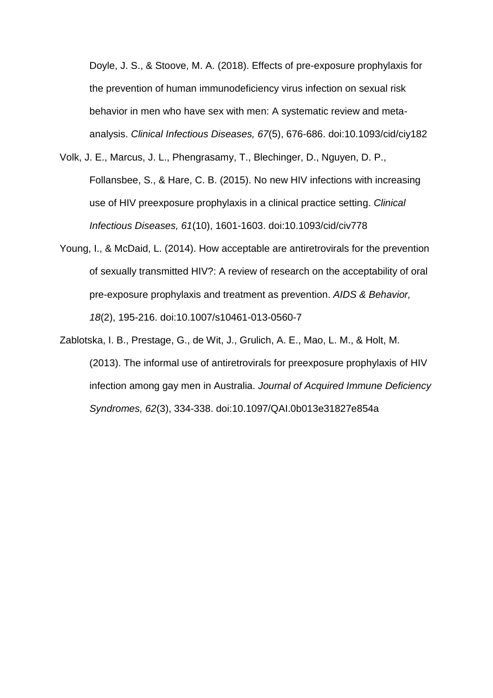Doyle, J. S., & Stoove, M. A. (2018). Effects of pre-exposure prophylaxis for the prevention of human immunodeficiency virus infection on sexual risk behavior in men who have sex with men: A systematic review and metaanalysis. *Clinical Infectious Diseases, 67*(5), 676-686. doi:10.1093/cid/ciy182

- Volk, J. E., Marcus, J. L., Phengrasamy, T., Blechinger, D., Nguyen, D. P., Follansbee, S., & Hare, C. B. (2015). No new HIV infections with increasing use of HIV preexposure prophylaxis in a clinical practice setting. *Clinical Infectious Diseases, 61*(10), 1601-1603. doi:10.1093/cid/civ778
- Young, I., & McDaid, L. (2014). How acceptable are antiretrovirals for the prevention of sexually transmitted HIV?: A review of research on the acceptability of oral pre-exposure prophylaxis and treatment as prevention. *AIDS & Behavior, 18*(2), 195-216. doi:10.1007/s10461-013-0560-7
- Zablotska, I. B., Prestage, G., de Wit, J., Grulich, A. E., Mao, L. M., & Holt, M. (2013). The informal use of antiretrovirals for preexposure prophylaxis of HIV infection among gay men in Australia. *Journal of Acquired Immune Deficiency Syndromes, 62*(3), 334-338. doi:10.1097/QAI.0b013e31827e854a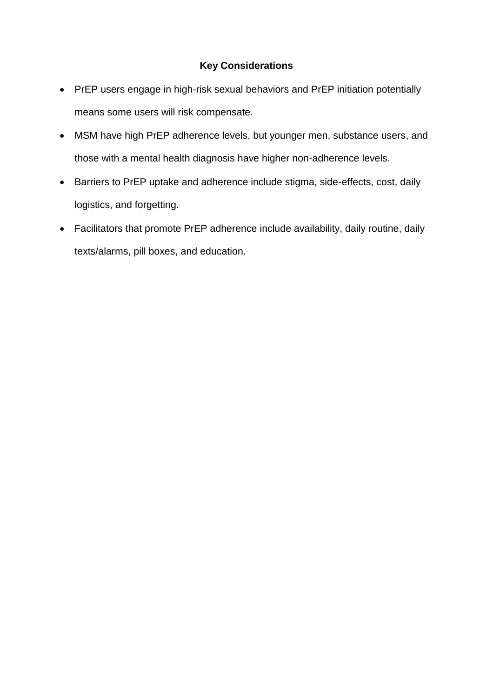# **Key Considerations**

- PrEP users engage in high-risk sexual behaviors and PrEP initiation potentially means some users will risk compensate.
- MSM have high PrEP adherence levels, but younger men, substance users, and those with a mental health diagnosis have higher non-adherence levels.
- Barriers to PrEP uptake and adherence include stigma, side-effects, cost, daily logistics, and forgetting.
- Facilitators that promote PrEP adherence include availability, daily routine, daily texts/alarms, pill boxes, and education.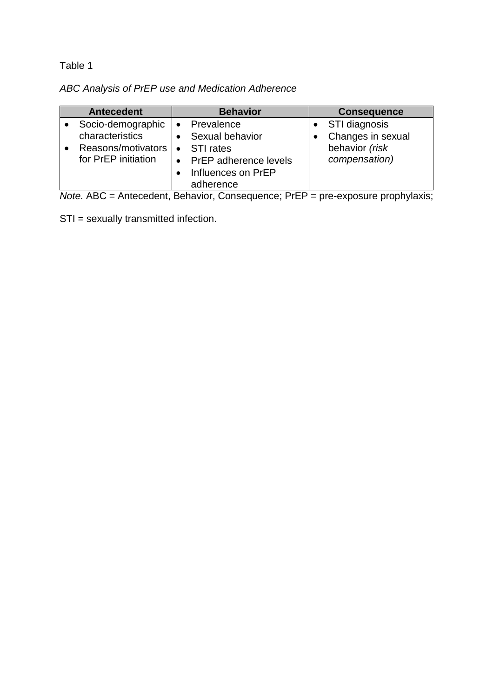# Table 1

*ABC Analysis of PrEP use and Medication Adherence*

| <b>Antecedent</b>                                                                         | <b>Behavior</b>                                                                                                 | <b>Consequence</b>                                                      |
|-------------------------------------------------------------------------------------------|-----------------------------------------------------------------------------------------------------------------|-------------------------------------------------------------------------|
| Socio-demographic $\cdot$<br>characteristics<br>Reasons/motivators<br>for PrEP initiation | Prevalence<br>Sexual behavior<br><b>STI</b> rates<br>• PrEP adherence levels<br>Influences on PrEP<br>adherence | • STI diagnosis<br>Changes in sexual<br>behavior (risk<br>compensation) |

*Note.* ABC = Antecedent, Behavior, Consequence; PrEP = pre-exposure prophylaxis;

STI = sexually transmitted infection.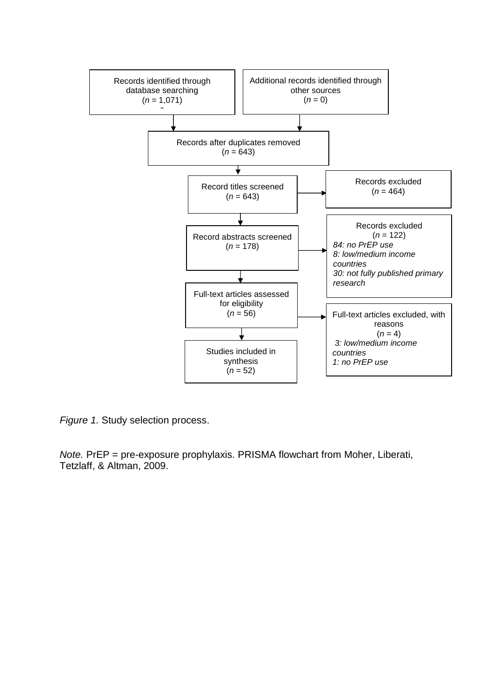

*Figure 1.* Study selection process.

*Note.* PrEP = pre-exposure prophylaxis. PRISMA flowchart from Moher, Liberati, Tetzlaff, & Altman, 2009.